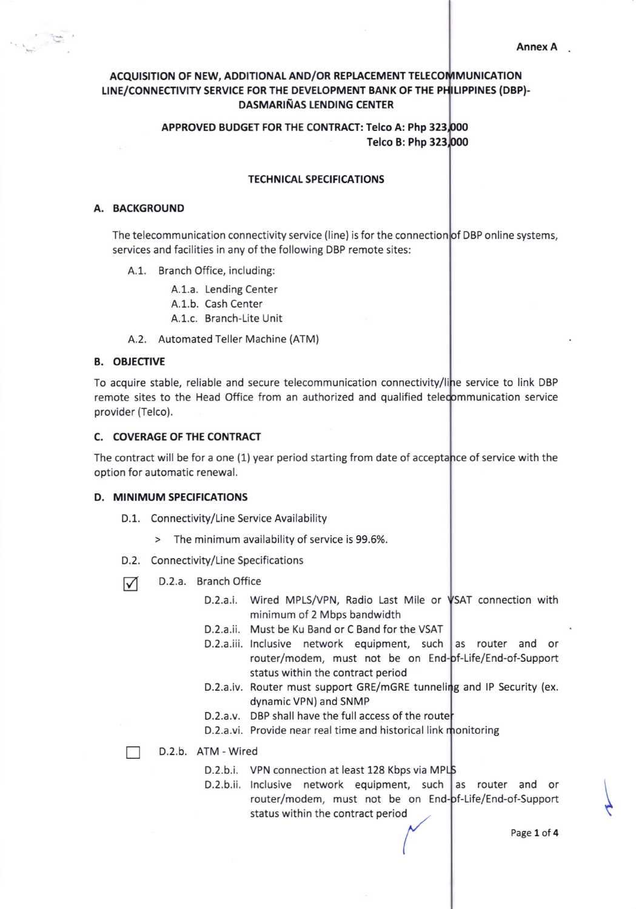# ACQUISITION OF NEW, ADDITIONAL AND/OR REPLACEMENT TELECOMMUNICATION LINE/CONNECTIVITY SERVICE FOR THE DEVELOPMENT BANK OF THE PHILIPPINES (DBP)-DASMARIÑAS LENDING CENTER

# APPROVED BUDGET FOR THE CONTRACT: Telco A: Php 323 Telco B: Php 323

### **TECHNICAL SPECIFICATIONS**

## A. BACKGROUND

The telecommunication connectivity service (line) is for the connection**|o**f DBP online systems, services and facilities in any of the following DBP remote sites:

- A.1. Branch Office, including:
	- A.1.a. Lending Center
	- A.1.b. Cash Center
	- A.1.c. Branch-Lite Unit
- A.2. Automated Teller Machine (ATM)

## B. OBJECTIVE

To acquire stable, reliable and secure telecommunication connectivity/li e service to link DBP remote sites to the Head Office from an authorized and qualified telecommunication service provider (Telco).

#### C. COVERAGE OF THE CONTRACT

The contract will be for a one (1) year period starting from date of acceptance of service with the option for automatic renewal.

#### D. MINIMUM SPECIFICATIONS

- D.1. Connectivity/Line Service Availability
	- > The minimum availability of service is 99.5%
- D.2. Connectivity/Line Specifications
- $\nabla$  D.2.a. Branch Office
	- D.2.a.i. Wired MPLS/VPN, Radio Last Mile or VSAT connection with minimum of 2 Mbps bandwidth
	- D.2.a.ii. Must be Ku Band or C Band for the VSAT
	- router/modem, must not be on End-pf-Life/End-of-Suppor status within the contract period D.2.a.iii. Inclusive network equipment, such as router and or
	- D.2.a.iv. Router must support GRE/mGRE tunneling and IP Security (ex. dynamic VPN) and SNMP
	- D.2.a.v. DBP shall have the full access of the route
	- D.2.a.vi. Provide near real time and historical link monitoring

П D.2.b. ATM - Wired

- D.2.b.i. VPN connection at least 128 Kbps via MP
- D.2.b.ii. Inclusive network equipment, such as router and or router/modem, must not be on End-of-Life/End-of-Support<br>status within the contract period

 $\overline{\phantom{a}}$ 

I

Page 1 of 4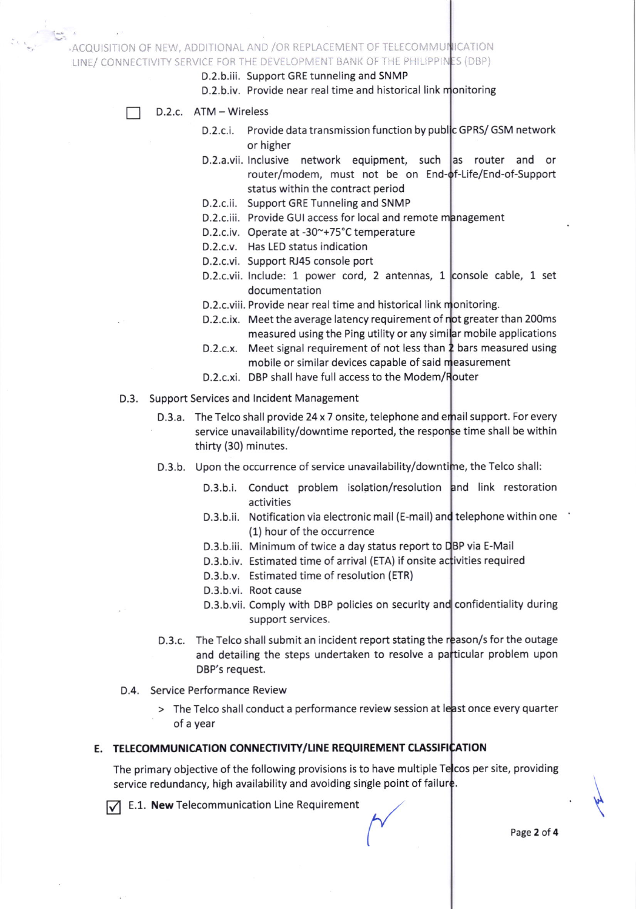ACQUISITION OF NEW, ADDITIONAL AND /OR REPLACEMENT OF TELECOMMUNICATION

LINE/ CONNECTIVITY SERVICE FOR THE DEVELOPMENT BANK OF THE PHILIPPINES (DBI

- D.2.b.iii. Support GRE tunneling and SNMP
- D.2.b.iv. Provide near real time and historical link monitoring
- D.2.c. ATM Wireless
	- 0.2.c.i. Provide data transmission function by publ GPRs/ GSM network or higher
		- D.2.a.vii. Inclusive network equipment, such as router and or router/modem, must not be on End-of-Life/End-of-Suppor status within the contract period
		- D.2.c.ii. Support GRE Tunneling and SNMP
		- D.2.c.iii. Provide GUI access for local and remote management
		- D.2.c.iv. Operate at -30~+75°C temperature
		- D.2.c.v. Has LED status indication
		- D.2.c.vi. Support RJ45 console port
		- D.2.c.vii. Include: 1 power cord, 2 antennas, 1 console cable, 1 set documentation
		- D.2.c.viii. Provide near real time and historical link monitoring
		- D.2.c.ix. Meet the average latency requirement of n<mark>ot greater than 200ms</mark> measured using the Ping utility or any simi**l**ar mobile applications
		- D.2.c.x.  $\,$  Meet signal requirement of not less than  $\rm 2$  bars measured using mobile or similar devices capable of said measurement
		- D.2.c.xi. DBP shall have full access to the Modem/R<mark>outer</mark>
- D.3. Support Services and lncident Management
	- D.3.a. The Telco shall provide 24 x 7 onsite, telephone and email support. For every service unavailability/downtime reported, the respon<mark>s</mark>e time shall be within thirty (30) minutes.
	- D.3.b. Upon the occurrence of service unavailability/downtime, the Telco shall:
		- D.3.b.i. Conduct problem isolation/resolution and link restoration activities
		- D.3.b.ii. Notification via electronic mail (E-mail) and telephone within one (1) hour of the occurrence
		- D.3.b.iii. Minimum of twice a day status report to BP via E-Mail
		- D.3.b.iv. Estimated time of arrival (ETA) if onsite activities required
		- D.3.b.v. Estimated time of resolution (ETR)
		- D.3.b.vi. Root cause
		- D.3.b.vii. Comply with DBP policies on security and confidentiality during support services.
	- D.3.c. The Telco shall submit an incident report stating the reason/s for the outage and detailing the steps undertaken to resolve a particular problem upon DBP's request.
- D.4. Service Performance Review
	- > The Telco shall conduct a performance review session at least once every quarter of a year

# E. TELECOMMUNICATION CONNECTIVITY/LINE REQUIREMENT CLASSIFICATION

The primary objective of the following provisions is to have multiple Te<mark>l</mark>cos per site, providing service redundancy, high availability and avoiding single point of failure.

 $\nabla$  E.1. New Telecommunication Line Requirement

\